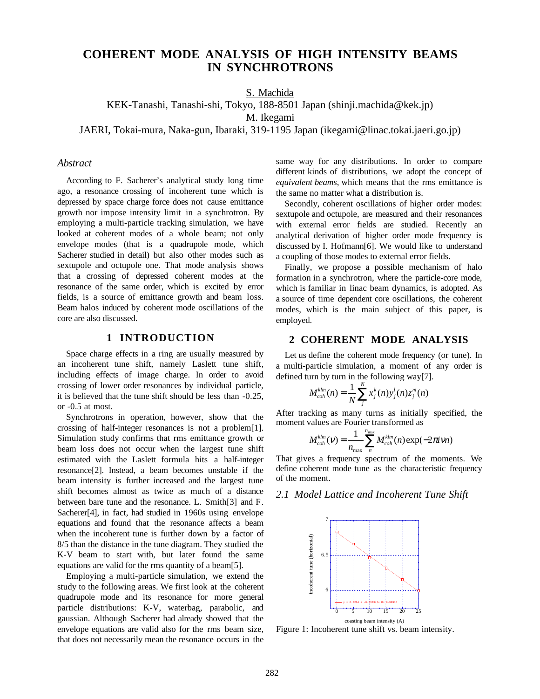# **COHERENT MODE ANALYSIS OF HIGH INTENSITY BEAMS IN SYNCHROTRONS**

S. Machida

KEK-Tanashi, Tanashi-shi, Tokyo, 188-8501 Japan (shinji.machida@kek.jp)

M. Ikegami

JAERI, Tokai-mura, Naka-gun, Ibaraki, 319-1195 Japan (ikegami@linac.tokai.jaeri.go.jp)

#### *Abstract*

According to F. Sacherer's analytical study long time ago, a resonance crossing of incoherent tune which is depressed by space charge force does not cause emittance growth nor impose intensity limit in a synchrotron. By employing a multi-particle tracking simulation, we have looked at coherent modes of a whole beam; not only envelope modes (that is a quadrupole mode, which Sacherer studied in detail) but also other modes such as sextupole and octupole one. That mode analysis shows that a crossing of depressed coherent modes at the resonance of the same order, which is excited by error fields, is a source of emittance growth and beam loss. Beam halos induced by coherent mode oscillations of the core are also discussed.

#### **1 INTRODUCTION**

Space charge effects in a ring are usually measured by an incoherent tune shift, namely Laslett tune shift, including effects of image charge. In order to avoid crossing of lower order resonances by individual particle, it is believed that the tune shift should be less than -0.25, or -0.5 at most.

Synchrotrons in operation, however, show that the crossing of half-integer resonances is not a problem[1]. Simulation study confirms that rms emittance growth or beam loss does not occur when the largest tune shift estimated with the Laslett formula hits a half-integer resonance[2]. Instead, a beam becomes unstable if the beam intensity is further increased and the largest tune shift becomes almost as twice as much of a distance between bare tune and the resonance. L. Smith[3] and F. Sacherer[4], in fact, had studied in 1960s using envelope equations and found that the resonance affects a beam when the incoherent tune is further down by a factor of 8/5 than the distance in the tune diagram. They studied the K-V beam to start with, but later found the same equations are valid for the rms quantity of a beam[5].

Employing a multi-particle simulation, we extend the study to the following areas. We first look at the coherent quadrupole mode and its resonance for more general particle distributions: K-V, waterbag, parabolic, and gaussian. Although Sacherer had already showed that the envelope equations are valid also for the rms beam size, that does not necessarily mean the resonance occurs in the same way for any distributions. In order to compare different kinds of distributions, we adopt the concept of *equivalent beams*, which means that the rms emittance is the same no matter what a distribution is.

Secondly, coherent oscillations of higher order modes: sextupole and octupole, are measured and their resonances with external error fields are studied. Recently an analytical derivation of higher order mode frequency is discussed by I. Hofmann[6]. We would like to understand a coupling of those modes to external error fields.

Finally, we propose a possible mechanism of halo formation in a synchrotron, where the particle-core mode, which is familiar in linac beam dynamics, is adopted. As a source of time dependent core oscillations, the coherent modes, which is the main subject of this paper, is employed.

# **2 COHERENT MODE ANALYSIS**

Let us define the coherent mode frequency (or tune). In a multi-particle simulation, a moment of any order is defined turn by turn in the following way[7].

$$
M_{coh}^{klm}(n) = \frac{1}{N} \sum_j^N x_j^k(n) y_j^l(n) z_j^m(n)
$$

After tracking as many turns as initially specified, the moment values are Fourier transformed as

$$
M_{coh}^{klm}(v) = \frac{1}{n_{\text{max}}} \sum_{n}^{n_{\text{max}}} M_{coh}^{klm}(n) \exp(-2\pi i v n)
$$

That gives a frequency spectrum of the moments. We define coherent mode tune as the characteristic frequency of the moment.

# *2.1 Model Lattice and Incoherent Tune Shift*



Figure 1: Incoherent tune shift vs. beam intensity.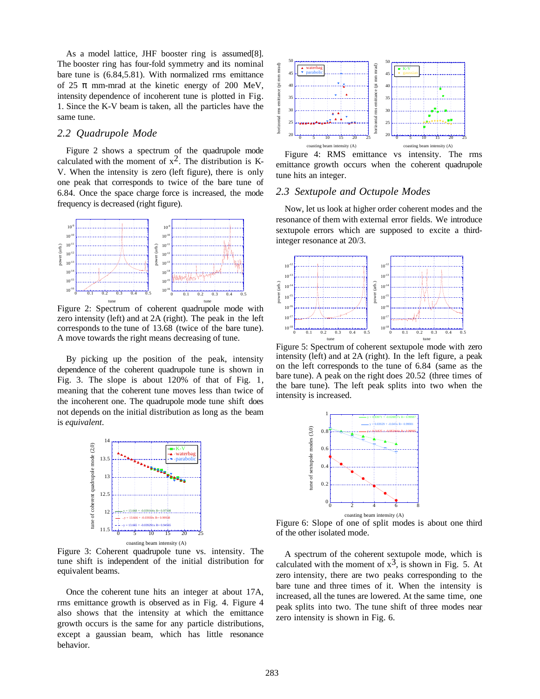As a model lattice, JHF booster ring is assumed[8]. The booster ring has four-fold symmetry and its nominal bare tune is (6.84,5.81). With normalized rms emittance of 25  $\pi$  mm-mrad at the kinetic energy of 200 MeV, intensity dependence of incoherent tune is plotted in Fig. 1. Since the K-V beam is taken, all the particles have the same tune.

#### *2.2 Quadrupole Mode*

Figure 2 shows a spectrum of the quadrupole mode calculated with the moment of  $x^2$ . The distribution is K-V. When the intensity is zero (left figure), there is only one peak that corresponds to twice of the bare tune of 6.84. Once the space charge force is increased, the mode frequency is decreased (right figure).



Figure 2: Spectrum of coherent quadrupole mode with zero intensity (left) and at 2A (right). The peak in the left corresponds to the tune of 13.68 (twice of the bare tune). A move towards the right means decreasing of tune.

By picking up the position of the peak, intensity dependence of the coherent quadrupole tune is shown in Fig. 3. The slope is about 120% of that of Fig. 1, meaning that the coherent tune moves less than twice of the incoherent one. The quadrupole mode tune shift does not depends on the initial distribution as long as the beam is *equivalent*.



Figure 3: Coherent quadrupole tune vs. intensity. The tune shift is independent of the initial distribution for equivalent beams.

Once the coherent tune hits an integer at about 17A, rms emittance growth is observed as in Fig. 4. Figure 4 also shows that the intensity at which the emittance growth occurs is the same for any particle distributions, except a gaussian beam, which has little resonance behavior.



Figure 4: RMS emittance vs intensity. The rms emittance growth occurs when the coherent quadrupole tune hits an integer.

#### *2.3 Sextupole and Octupole Modes*

Now, let us look at higher order coherent modes and the resonance of them with external error fields. We introduce sextupole errors which are supposed to excite a thirdinteger resonance at 20/3.



Figure 5: Spectrum of coherent sextupole mode with zero intensity (left) and at 2A (right). In the left figure, a peak on the left corresponds to the tune of 6.84 (same as the bare tune). A peak on the right does 20.52 (three times of the bare tune). The left peak splits into two when the intensity is increased.



Figure 6: Slope of one of split modes is about one third of the other isolated mode.

A spectrum of the coherent sextupole mode, which is calculated with the moment of  $x^3$ , is shown in Fig. 5. At zero intensity, there are two peaks corresponding to the bare tune and three times of it. When the intensity is increased, all the tunes are lowered. At the same time, one peak splits into two. The tune shift of three modes near zero intensity is shown in Fig. 6.